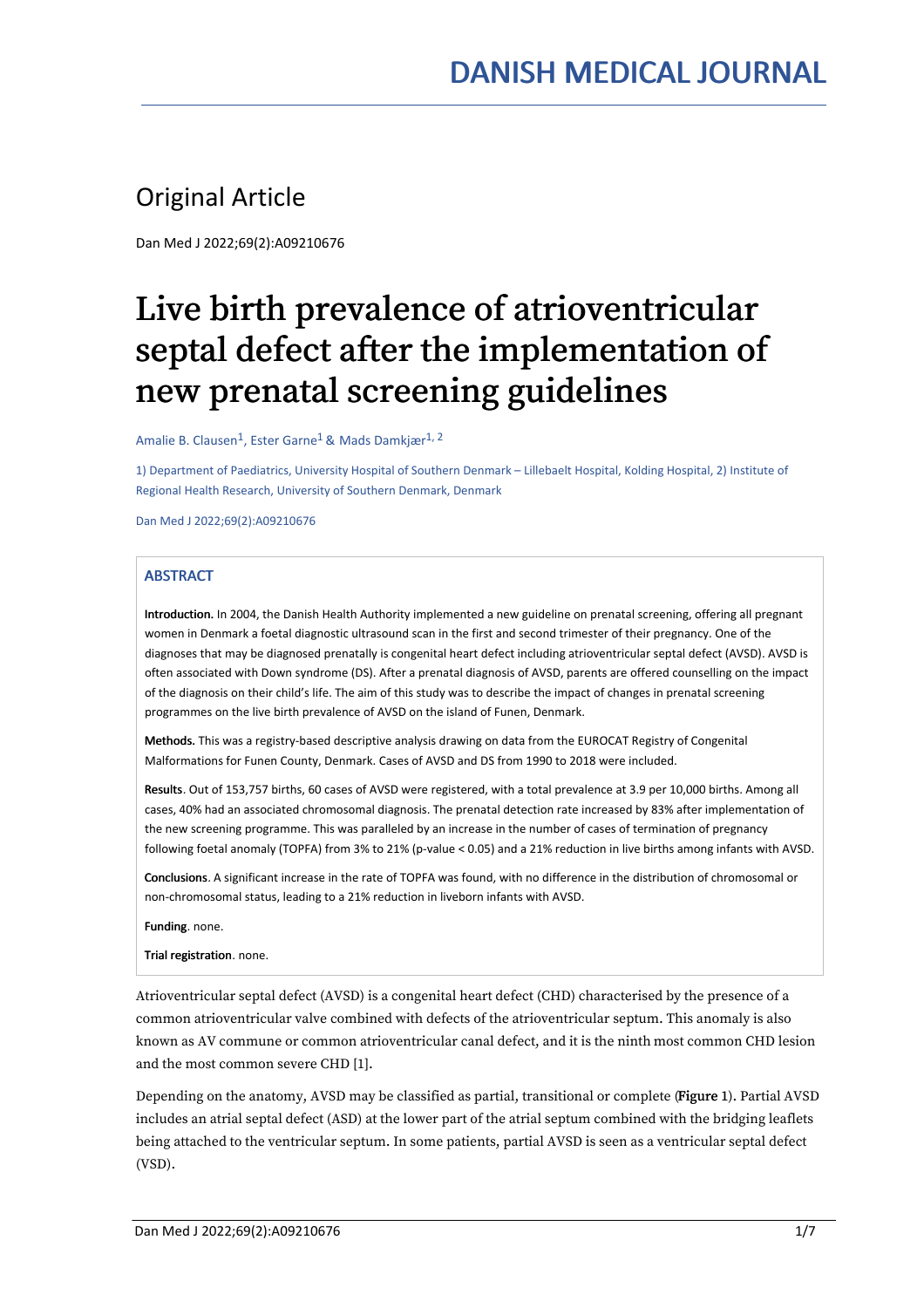# Original Article

Dan Med J 2022;69(2):A09210676

# Live birth prevalence of atrioventricular septal defect after the implementation of new prenatal screening guidelines

Amalie B. Clausen $^1$ , Ester Garne $^1$  & Mads Damkjær $^{1, \, 2}$ 

1) Department of Paediatrics, University Hospital of Southern Denmark – Lillebaelt Hospital, Kolding Hospital, 2) Institute of Regional Health Research, University of Southern Denmark, Denmark

Dan Med J 2022;69(2):A09210676

# **ABSTRACT**

Introduction. In 2004, the Danish Health Authority implemented a new guideline on prenatal screening, offering all pregnant women in Denmark a foetal diagnostic ultrasound scan in the first and second trimester of their pregnancy. One of the diagnoses that may be diagnosed prenatally is congenital heart defect including atrioventricular septal defect (AVSD). AVSD is often associated with Down syndrome (DS). After a prenatal diagnosis of AVSD, parents are offered counselling on the impact of the diagnosis on their child's life. The aim of this study was to describe the impact of changes in prenatal screening programmes on the live birth prevalence of AVSD on the island of Funen, Denmark.

Methods. This was a registry-based descriptive analysis drawing on data from the EUROCAT Registry of Congenital Malformations for Funen County, Denmark. Cases of AVSD and DS from 1990 to 2018 were included.

Results. Out of 153,757 births, 60 cases of AVSD were registered, with a total prevalence at 3.9 per 10,000 births. Among all cases, 40% had an associated chromosomal diagnosis. The prenatal detection rate increased by 83% the new screening programme. This was paralleled by an increase in the number of cases of termination of pregnancy following foetal anomaly (TOPFA) from 3% to 21% (p-value < 0.05) and a 21% reduction in live births among infants with AVSD.

Conclusions. A significant increase in the rate of TOPFA was found, with no difference in the distribution of chromosomal or non-chromosomal status, leading to a 21% reduction in liveborn infants with AVSD.

Funding. none.

Trial registration. none.

Atrioventricular septal defect (AVSD) is a congenital heart defect (CHD) characterised by the presence of a common atrioventricular valve combined with defects of the atrioventricular septum. This anomaly is also known as AV commune or common atrioventricular canal defect, and it is the ninth most common CHD lesion and the most common severe CHD [1].

Depending on the anatomy, AVSD may be classified as partial, transitional or complete (Figure 1). Partial AVSD includes an atrial septal defect (ASD) at the lower part of the atrial septum combined with the bridging leaflets being attached to the ventricular septum. In some patients, partial AVSD is seen as a ventricular septal defect (VSD).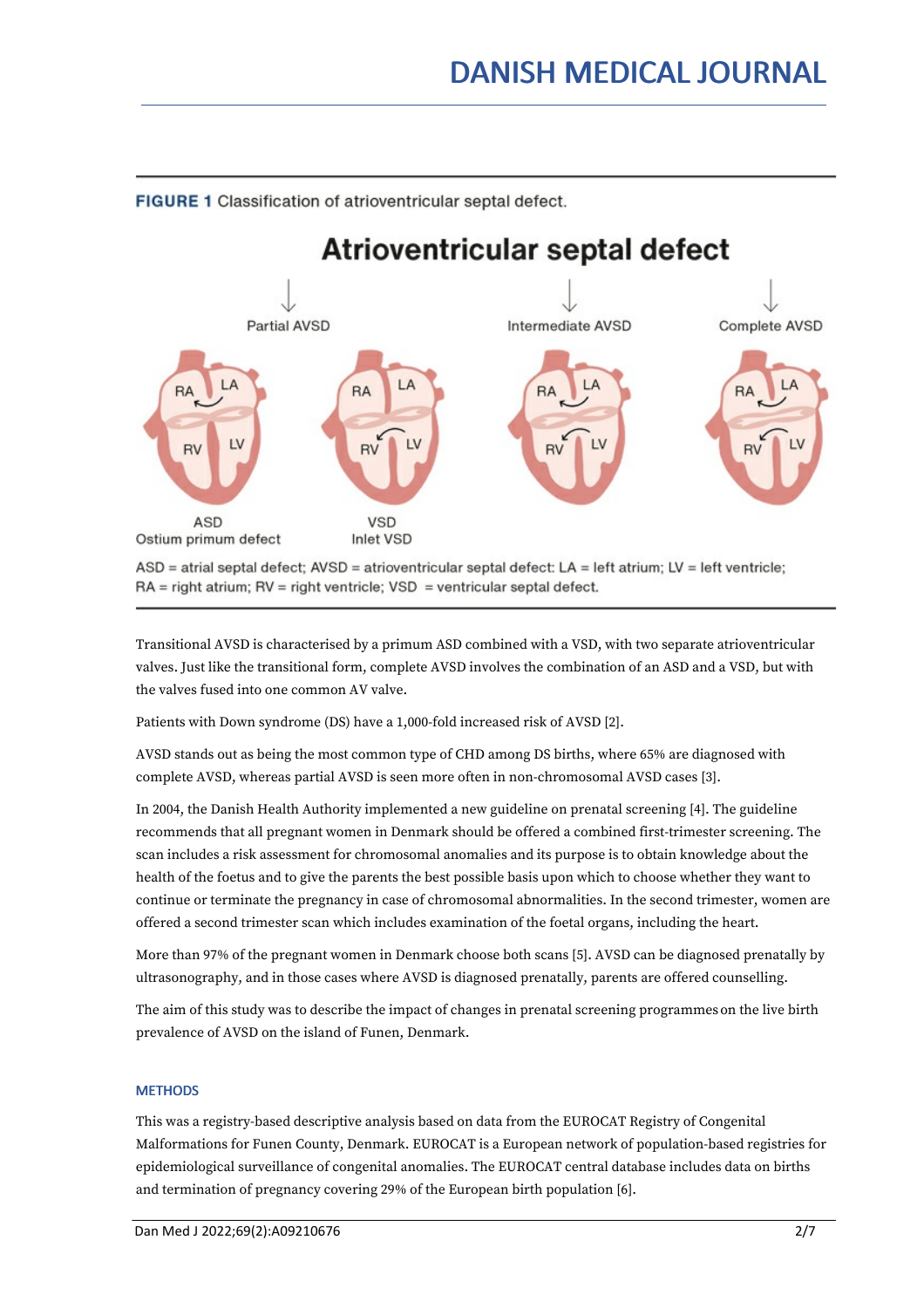

FIGURE 1 Classification of atrioventricular septal defect.

ASD = atrial septal defect; AVSD = atrioventricular septal defect: LA = left atrium; LV = left ventricle; RA = right atrium; RV = right ventricle; VSD = ventricular septal defect.

Transitional AVSD is characterised by a primum ASD combined with a VSD, with two separate atrioventricular valves. Just like the transitional form, complete AVSD involves the combination of an ASD and a VSD, but with the valves fused into one common AV valve.

Patients with Down syndrome (DS) have a 1,000-fold increased risk of AVSD [2].

AVSD stands out as being the most common type of CHD among DS births, where 65% arediagnosed with complete AVSD, whereas partial AVSD is seen more often in non-chromosomal AVSD cases [3].

In 2004, the Danish Health Authority implemented a new guideline on prenatal screening [4]. The guideline recommends that all pregnant women in Denmark should be offered a combined first-trimester screening. The scan includes a risk assessment for chromosomal anomalies and its purpose is to obtain knowledge about the health of the foetus and to give the parents the best possible basis upon which to choose whether they want to continue or terminate the pregnancy in case of chromosomal abnormalities. In the second trimester, women are offered a second trimester scan which includes examination of the foetal organs, including the heart.

More than 97% of the pregnant women in Denmark choose both scans [5]. AVSD can be diagnosed prenatally by ultrasonography, and in those cases where AVSD is diagnosed prenatally, parents are offered counselling.

The aim of this study was to describe the impact of changes in prenatal screening programmeson the live birth prevalence of AVSD on the island of Funen, Denmark.

# **METHODS**

This was a registry-based descriptive analysis based on data from the EUROCAT Registry of Congenital Malformations for Funen County, Denmark. EUROCAT is a European network of population-based registries for epidemiological surveillance of congenital anomalies. The EUROCAT central database includes data on births and termination of pregnancy covering 29% of the European birth population [6].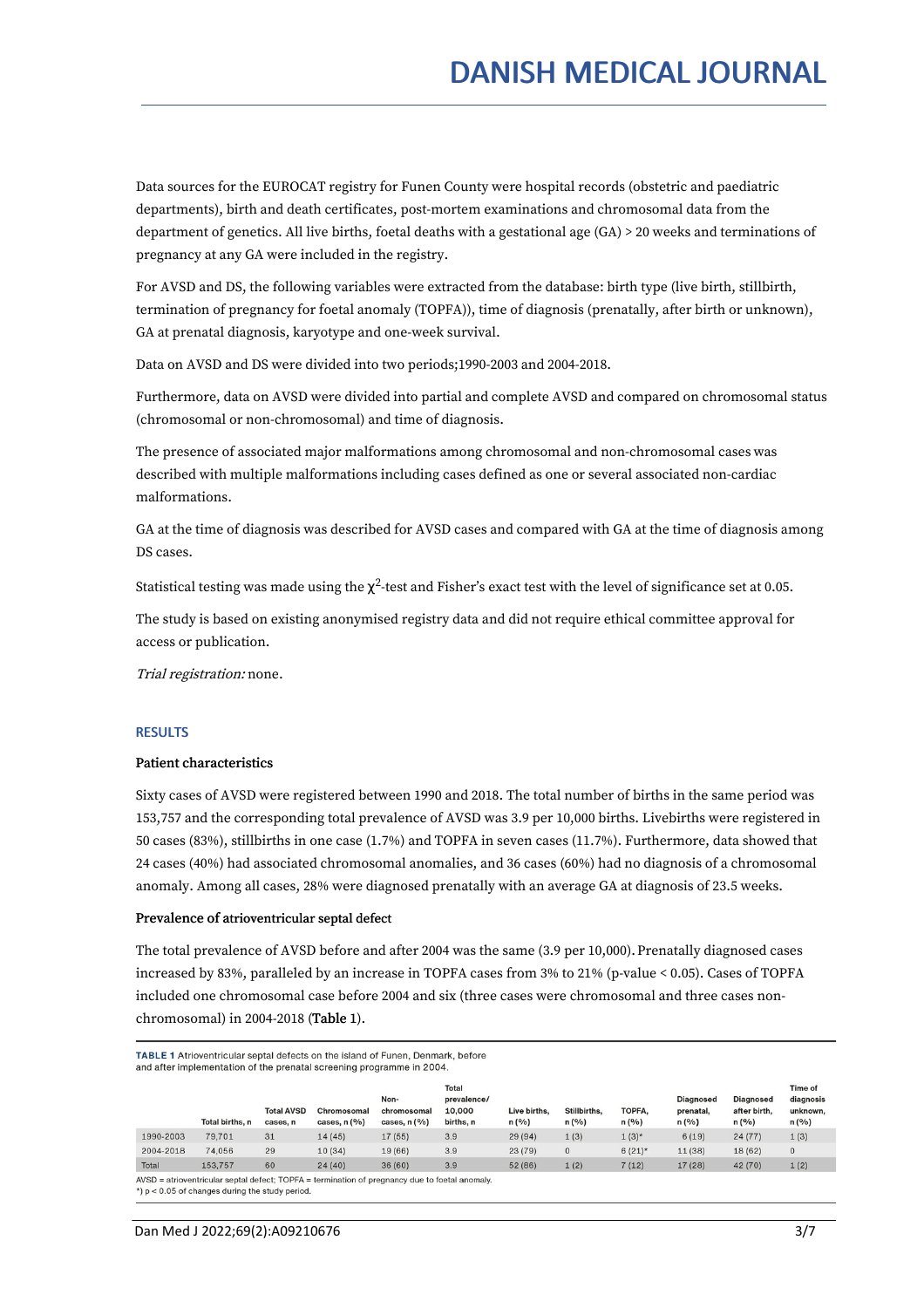Data sources for the EUROCAT registry for Funen County were hospital records (obstetric and paediatric departments), birth and death certificates, post-mortem examinations and chromosomal data from the department of genetics. All live births, foetal deaths with a gestational age (GA) > 20 weeks and terminations of pregnancy at any GA were included in the registry.

For AVSD and DS, the following variables were extracted from the database: birth type (live birth, stillbirth, termination of pregnancy for foetal anomaly (TOPFA)), time of diagnosis (prenatally, after birth or unknown), GA at prenatal diagnosis, karyotype and one-week survival.

Data on AVSD and DS were divided into two periods;1990-2003 and 2004-2018.

Furthermore, data on AVSD were divided into partial and complete AVSD and compared on chromosomal status (chromosomal or non-chromosomal) and time of diagnosis.

The presence of associated major malformations among chromosomal and non-chromosomal cases was described with multiple malformations including cases defined as one or several associated non-cardiac malformations.

GA at the time of diagnosis was described for AVSD cases and compared with GA at the time of diagnosis among DS cases.

Statistical testing was made using the  $\chi^2$ -test and Fisher's exact test with the level of significance set at 0.05.

The study is based on existing anonymised registry data and did not require ethical committee approval for access or publication.

Trial registration: none.

#### **RESULTS**

# Patient characteristics

Sixty cases of AVSD were registered between 1990 and 2018. The total number of births in the same period was 153,757 and the corresponding total prevalence of AVSD was 3.9 per 10,000 births. Livebirths were registered in 50 cases (83%), stillbirths in one case (1.7%) and TOPFA in seven cases (11.7%). Furthermore, data showed that 24 cases (40%) had associated chromosomal anomalies, and 36 cases (60%) had no diagnosis of a chromosomal anomaly. Among all cases, 28% were diagnosed prenatally with an average GA at diagnosis of 23.5 weeks.

#### Prevalence of atrioventricular septal defect

The total prevalence of AVSD before and after 2004 was the same (3.9 per 10,000). Prenatally diagnosed cases increased by 83%, paralleled by an increase in TOPFA cases from 3% to 21% (p-value < 0.05). Cases of TOPFA included one chromosomal case before 2004 and six (three cases were chromosomal and three cases non chromosomal) in 2004-2018 (Table 1).

TABLE 1 Atrioventricular septal defects on the island of Funen, Denmark, before and after implementation of the prenatal screening programme in 2004.

|           | Total births, n | <b>Total AVSD</b><br>cases, n | Chromosomal<br>cases, $n$ $(\%)$ | Non-<br>chromosomal<br>cases, $n$ $(\%)$ | <b>Total</b><br>prevalence/<br>10,000<br>births, n | Live births.<br>n(%) | Stillbirths.<br>n(%) | TOPFA,<br>n(%) | <b>Diagnosed</b><br>prenatal,<br>n(%) | <b>Diagnosed</b><br>after birth.<br>n(%) | <b>Time of</b><br>diagnosis<br>unknown,<br>n(%) |
|-----------|-----------------|-------------------------------|----------------------------------|------------------------------------------|----------------------------------------------------|----------------------|----------------------|----------------|---------------------------------------|------------------------------------------|-------------------------------------------------|
| 1990-2003 | 79,701          | 31                            | 14(45)                           | 17(55)                                   | 3.9                                                | 29(94)               | 1(3)                 | $1(3)^{*}$     | 6(19)                                 | 24(77)                                   | 1(3)                                            |
| 2004-2018 | 74.056          | 29                            | 10(34)                           | 19 (66)                                  | 3.9                                                | 23(79)               | $\mathbf{0}$         | $6(21)$ *      | 11 (38)                               | 18 (62)                                  | $\mathbf{0}$                                    |
| Total     | 153.757         | 60                            | 24(40)                           | 36(60)                                   | 3.9                                                | 52 (86)              | 1(2)                 | 7(12)          | 17 (28)                               | 42 (70)                                  | 1(2)                                            |

 $AVSD =$  atrioventricular septal defect:  $TOPFA =$  termination of pregnancy due to foetal anomaly.

\*)  $p < 0.05$  of changes during the study period.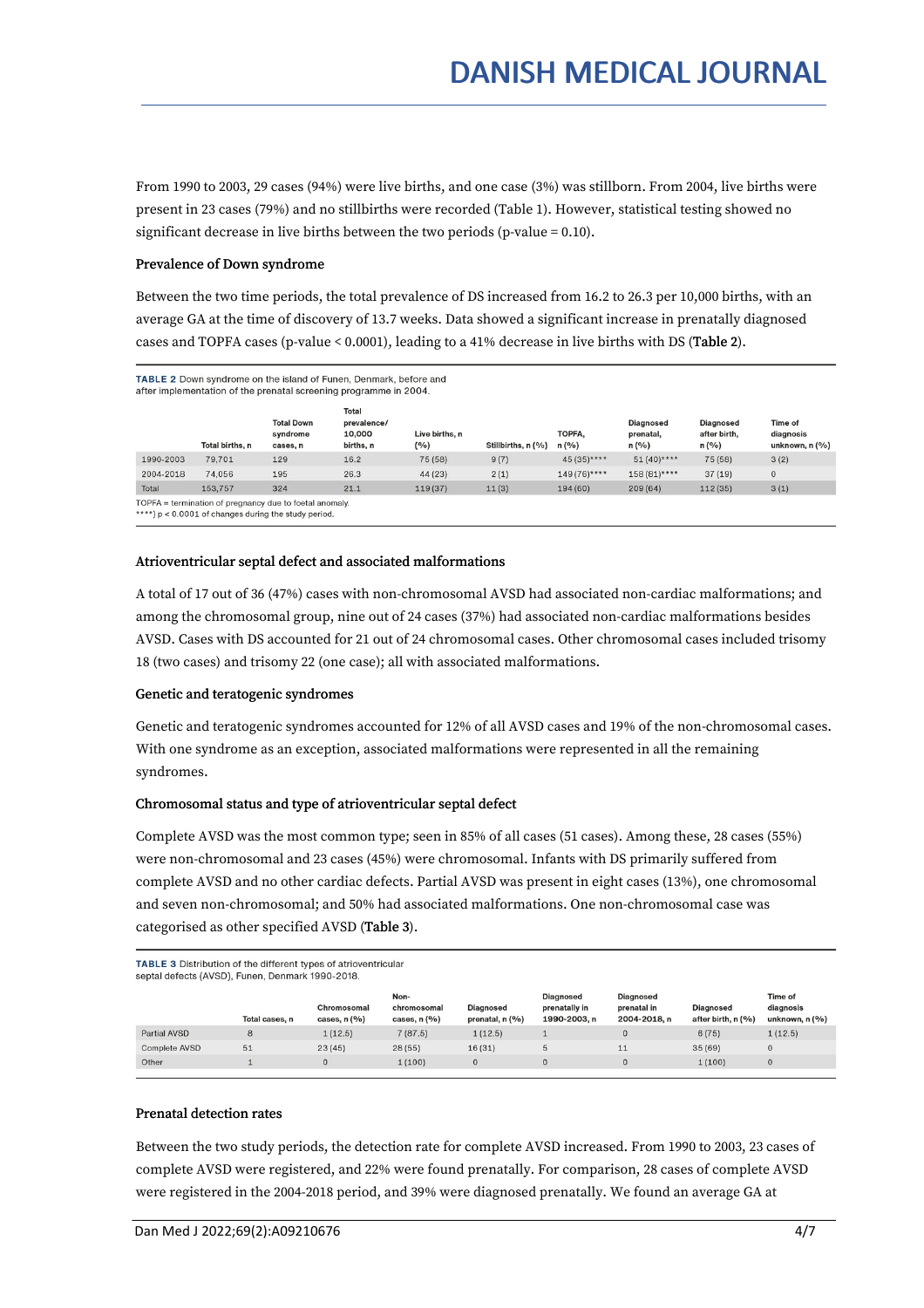From 1990 to 2003, 29 cases (94%) were live births, and one case (3%) was stillborn. From 2004, live births were present in 23 cases (79%) and no stillbirths were recorded (Table 1). However, statistical testing showed no significant decrease in live births between the two periods (p-value  $= 0.10$ ).

## Prevalence of Down syndrome

Between the two time periods, the total prevalence of DS increased from 16.2to 26.3 per 10,000 births, with an average GA at the time of discovery of 13.7 weeks. Data showed a significant increase in prenatally diagnosed cases and TOPFA cases (p-value < 0.0001), leading to a 41% decrease in live births with DS (Table 2).

#### TABLE 2 Down syndrome on the island of Funen, Denmark, before and after implementation of the prenatal screening programme in 2004.

|           | Total births, n                                                                                                                                                                                         | <b>Total Down</b><br>syndrome<br>cases, n | Total<br>prevalence/<br>10,000<br>births, n | Live births, n<br>(9/6) | Stillbirths, n (%) | TOPFA.<br>n(9/6) | <b>Diagnosed</b><br>prenatal,<br>n(%) | <b>Diagnosed</b><br>after birth.<br>n(%) | <b>Time of</b><br>diagnosis<br>unknown, $n(%$ |
|-----------|---------------------------------------------------------------------------------------------------------------------------------------------------------------------------------------------------------|-------------------------------------------|---------------------------------------------|-------------------------|--------------------|------------------|---------------------------------------|------------------------------------------|-----------------------------------------------|
| 1990-2003 | 79.701                                                                                                                                                                                                  | 129                                       | 16.2                                        | 75 (58)                 | 9(7)               | $45(35)***$      | $51(40)$ ****                         | 75 (58)                                  | 3(2)                                          |
| 2004-2018 | 74.056                                                                                                                                                                                                  | 195                                       | 26.3                                        | 44 (23)                 | 2(1)               | $149(76)***$     | $158(81)$ ****                        | 37(19)                                   | $\mathbf{0}$                                  |
| Total     | 153,757                                                                                                                                                                                                 | 324                                       | 21.1                                        | 119(37)                 | 11(3)              | 194 (60)         | 209(64)                               | 112 (35)                                 | 3(1)                                          |
|           | TOPFA = termination of pregnancy due to foetal anomaly.<br>$\mathbf{A} \mathbf{A} \mathbf{A} \mathbf{A}$ . The contract of $\mathbf{A}$ is the contract of $\mathbf{A}$ is the contract of $\mathbf{A}$ |                                           |                                             |                         |                    |                  |                                       |                                          |                                               |

\*\*\*\*) p < 0.0001 of changes during the study period

#### Atrioventricular septal defect and associated malformations

A total of 17 out of 36 (47%) cases with non-chromosomal AVSD had associated non-cardiac malformations; and among the chromosomal group, nine out of 24 cases (37%) had associated non-cardiac malformations besides AVSD. Cases with DS accounted for 21 out of 24 chromosomal cases. Other chromosomal cases included trisomy 18 (two cases) and trisomy 22 (one case); all with associated malformations.

#### Genetic and teratogenic syndromes

Genetic and teratogenic syndromes accounted for 12% of all AVSD cases and 19% of the non-chromosomal cases. With one syndrome as an exception, associated malformations were represented in all the remaining syndromes.

### Chromosomal status and type of atrioventricular septal defect

Complete AVSD was the most common type; seen in 85% of all cases (51 cases). Among these, 28 cases (55%) were non-chromosomal and 23 cases (45%) were chromosomal. Infants with DS primarily suffered from complete AVSD and no other cardiac defects. Partial AVSD was present in eight cases (13%), one chromosomal and seven non-chromosomal; and 50% had associated malformations. One non-chromosomal case was categorised as other specified AVSD (Table 3).

TABLE 3 Distribution of the different types of atrioventricular septal defects (AVSD), Funen, Denmark 1990-2018.

|                      | Total cases, n | Chromosomal<br>cases, $n(%$ | Non-<br>chromosomal<br>cases, $n(%$ | <b>Diagnosed</b><br>prenatal, n (%) | <b>Diagnosed</b><br>prenatally in<br>1990-2003, n | <b>Diagnosed</b><br>prenatal in<br>2004-2018, n | <b>Diagnosed</b><br>after birth, n (%) | Time of<br>diagnosis<br>unknown, $n$ $(\%)$ |
|----------------------|----------------|-----------------------------|-------------------------------------|-------------------------------------|---------------------------------------------------|-------------------------------------------------|----------------------------------------|---------------------------------------------|
| Partial AVSD         | 8              | 1(12.5)                     | 7(87.5)                             | 1(12.5)                             |                                                   | $\mathbf{0}$                                    | 6(75)                                  | 1(12.5)                                     |
| <b>Complete AVSD</b> | 51             | 23(45)                      | 28(55)                              | 16(31)                              | Ð                                                 | 11                                              | 35(69)                                 | $\mathbf{0}$                                |
| Other                |                |                             | 1(100)                              |                                     | 0                                                 | $\mathbf 0$                                     | 1(100)                                 | $\mathbf{0}$                                |

#### Prenatal detection rates

Between the two study periods, the detection rate for complete AVSD increased. From 1990 to 2003, 23 cases of complete AVSD were registered, and 22% were found prenatally. For comparison, 28 cases of complete AVSD were registered in the 2004-2018 period, and 39% were diagnosed prenatally. We found an average GA at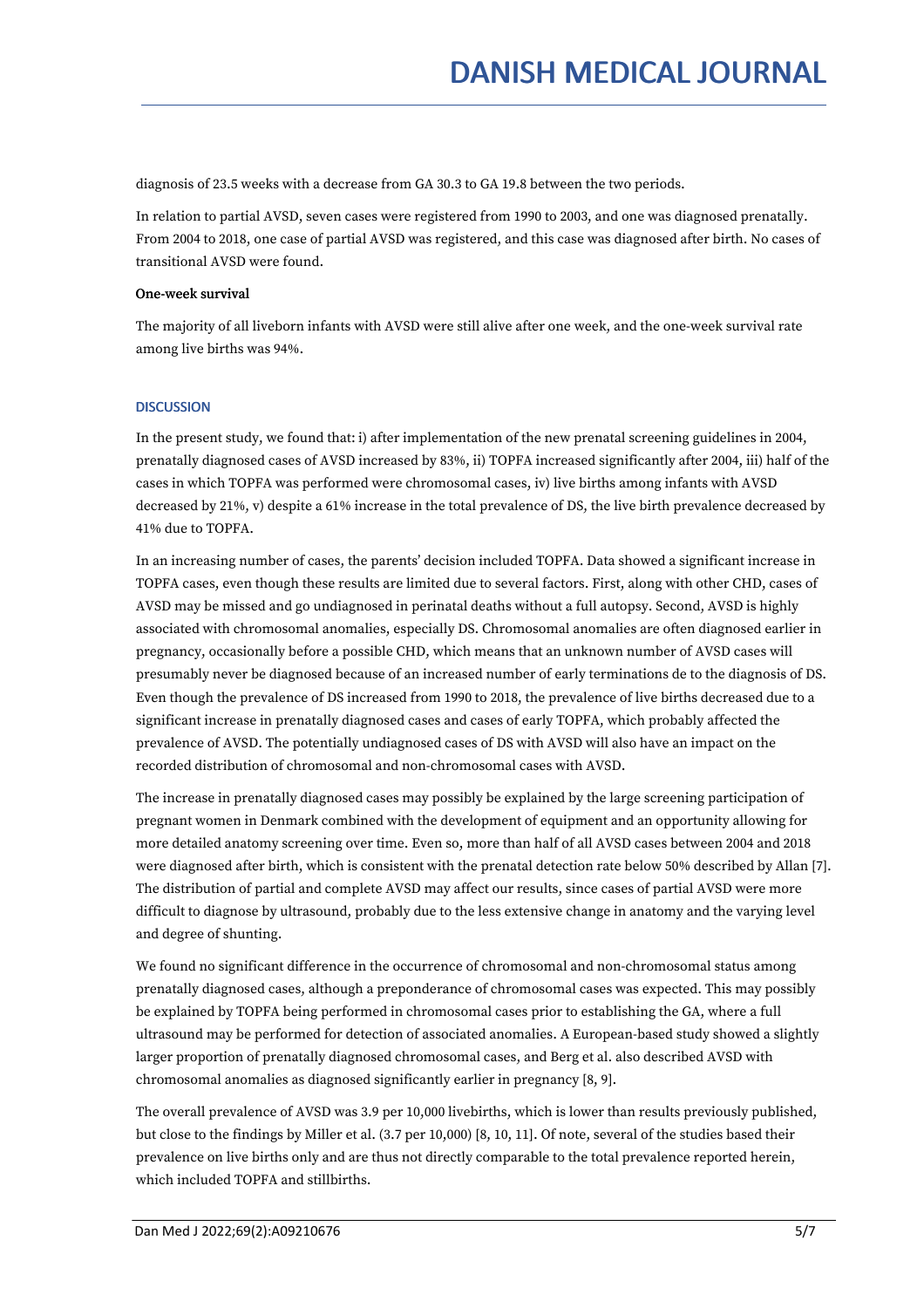diagnosis of 23.5 weeks with a decrease from GA 30.3 to GA 19.8 between the two periods.

In relation to partial AVSD, seven cases were registered from 1990 to 2003, and one was diagnosed prenatally. From 2004 to 2018, one case of partial AVSD was registered, and this case was diagnosed after birth. No cases of transitional AVSD were found.

# One-week survival

The majority of all liveborn infants with AVSD were still alive after one week, and the one-week survival rate among live births was 94%.

# **DISCUSSION**

In the present study, we found that: i) after implementation of the new prenatal screening guidelines in 2004, prenatally diagnosed cases of AVSD increased by 83%, ii) TOPFA increased significantly after 2004, iii) half of the cases in which TOPFA was performed were chromosomal cases, iv) live births among infants with AVSD decreased by 21%, v) despite a 61% increase in the total prevalence of DS, the live birth prevalence decreased by 41% due to TOPFA.

In an increasing number of cases, the parents' decision included TOPFA. Data showed a significant increase in TOPFA cases, even though these results are limited due to several factors. First, along with other CHD, cases of AVSD may be missed and go undiagnosed in perinatal deaths without a full autopsy. Second, AVSD is highly associated with chromosomal anomalies, especially DS. Chromosomal anomalies are often diagnosed earlier in pregnancy, occasionally before a possible CHD, which means that an unknown number of AVSD cases will presumably never be diagnosed because of an increased number of early terminations de to the diagnosis of DS. Even though the prevalence of DS increased from 1990 to 2018, the prevalence of live births decreased due to a significant increase in prenatally diagnosed cases and cases of early TOPFA, which probably affected the prevalence of AVSD. The potentially undiagnosed cases of DS with AVSD will also have an impact on the recorded distribution of chromosomal and non-chromosomal cases with AVSD.

The increase in prenatally diagnosed cases may possibly be explained by the large screening participation of pregnant women in Denmark combined with the development of equipment and an opportunity allowing for more detailed anatomy screening over time. Even so, more than half of all AVSD cases between 2004 and 2018 were diagnosed after birth, which is consistent with the prenatal detection rate below 50% described by Allan [7]. The distribution of partial and complete AVSD may affect our results, since cases of partial AVSD were more difficult to diagnose by ultrasound, probably due to the less extensive change in anatomy and the varying level and degree of shunting.

We found no significant difference in the occurrence of chromosomal and non-chromosomal status among prenatally diagnosed cases, although a preponderance of chromosomal cases was expected. This may possibly be explained by TOPFA being performed in chromosomal cases prior to establishing the GA, where a full ultrasound may be performed for detection of associated anomalies. A European-based study showed a slightly larger proportion of prenatally diagnosed chromosomal cases, and Berg et al. also described AVSD with chromosomal anomalies as diagnosed significantly earlier in pregnancy [8, 9].

The overall prevalence of AVSD was 3.9 per 10,000 livebirths, which is lower than results previously published, but close to the findings by Miller et al. (3.7 per 10,000) [8, 10, 11]. Of note, several of the studies based their prevalence on live births only and are thus not directly comparable to the total prevalence reported herein, which included TOPFA and stillbirths.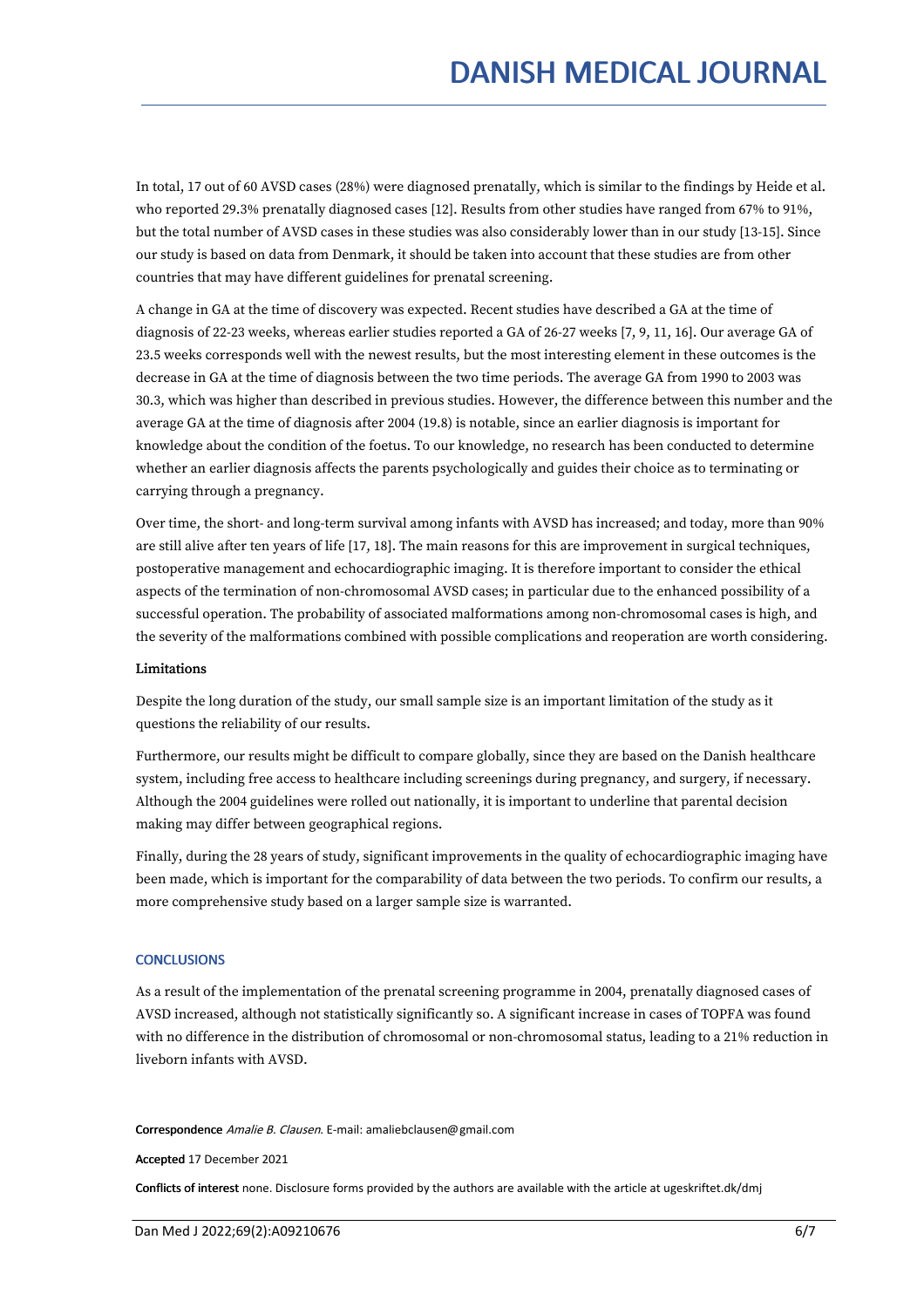In total, 17 out of 60 AVSD cases (28%) were diagnosed prenatally, which is similar to the findings by Heide et al. who reported 29.3% prenatally diagnosed cases [12]. Results from other studies have ranged from 67% to 91%, but the total number of AVSD cases in these studies was also considerably lower than in our study [13-15]. Since our study is based on data from Denmark, it should be taken into account that these studies are from other countries that may have different guidelines for prenatal screening.

A change in GA at the time of discovery was expected. Recent studies have described a GA at the time of diagnosis of 22-23 weeks, whereas earlier studies reported a GA of 26-27 weeks [7, 9, 11, 16]. Our average GA of 23.5 weeks corresponds well with the newest results, but the most interesting element in these outcomes is the decrease in GA at the time of diagnosis between the two time periods. The average GA from 1990 to 2003 was 30.3, which was higher than described in previous studies. However, the difference between this number and the average GA at the time of diagnosis after 2004 (19.8) is notable, since an earlier diagnosis is important for knowledge about the condition of the foetus. To our knowledge, no research has been conducted to determine whether an earlier diagnosis affects the parents psychologically and guides their choice as to terminating or carrying through a pregnancy.

Over time, the short- and long-term survival among infants with AVSD has increased; and today, more than 90% are still alive after ten years of life [17, 18]. The main reasons for this are improvement in surgical techniques, postoperative management and echocardiographic imaging. It is therefore important to consider the ethical aspects of the termination of non-chromosomal AVSD cases; in particular due to the enhanced possibility of a successful operation. The probability of associated malformations among non-chromosomal cases is high, and the severity of the malformations combined with possible complications and reoperation are worth considering.

# Limitations

Despite the long duration of the study, our small sample size is an important limitation of the study as it questions the reliability of our results.

Furthermore, our results might be difficult to compare globally, since they are based on the Danish healthcare system, including free access to healthcare including screenings during pregnancy, and surgery, if necessary. Although the 2004 guidelines were rolled out nationally, it is important to underline that parental decision making may differ between geographical regions.

Finally, during the 28 years of study, significant improvements in the quality of echocardiographic imaging have been made, which is important for the comparability of data between the two periods. To confirm our results, a more comprehensive study based on a larger sample size is warranted.

# **CONCLUSIONS**

As a result of the implementation of the prenatal screening programme in 2004, prenatally diagnosed cases of AVSD increased, although not statistically significantly so. A significant increase in cases of TOPFA was found with no difference in the distribution of chromosomal or non-chromosomal status, leading to a 21% reduction in liveborn infants with AVSD.

#### Correspondence Amalie B. Clausen. E-mail: amaliebclausen@gmail.com

Accepted 17 December 2021

Conflicts of interest none. Disclosure forms provided by the authors are available with the article at ugeskriftet.dk/dmj